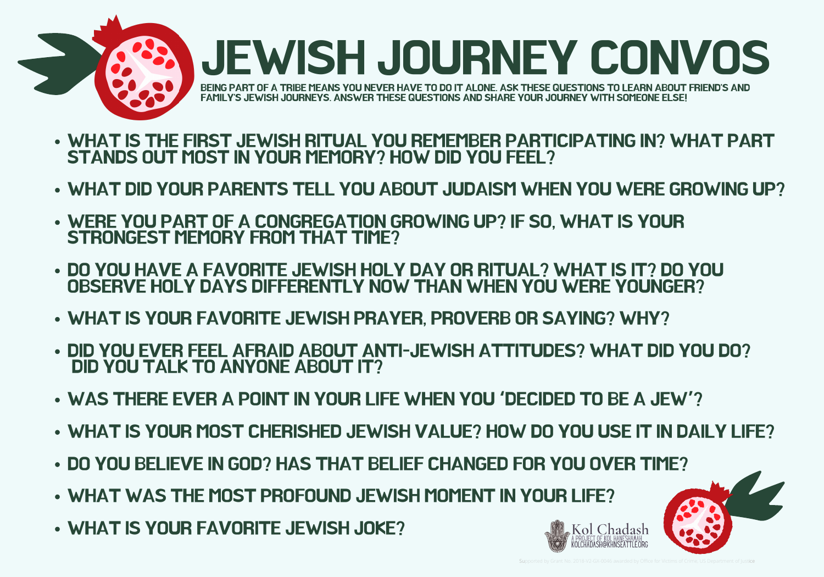

- WHAT IS THE FIRST JEWISH RITUAL YOU REMEMBER PARTICIPATING IN? WHAT PART STANDS OUT MOST IN YOUR MEMORY? HOW DID YOU FEEL?
- WHAT DID YOUR PARENTS TELL YOU ABOUT JUDAISM WHEN YOU WERE GROWING UP?
- WERE YOU PART OF A CONGREGATION GROWING UP? IF SO, WHAT IS YOUR STRONGEST MEMORY FROM THAT TIME?
- DO YOU HAVE A FAVORITE JEWISH HOLY DAY OR RITUAL? WHAT IS IT? DO YOU OBSERVE HOLY DAYS DIFFERENTLY NOW THAN WHEN YOU WERE YOUNGER?
- WHAT IS YOUR FAVORITE JEWISH PRAYER, PROVERB OR SAYING? WHY?
- DID YOU EVER FEEL AFRAID ABOUT ANTI-JEWISH ATTITUDES? WHAT DID YOU DO? DID YOU TALK TO ANYONE ABOUT IT?
- WAS THERE EVER A POINT IN YOUR LIFE WHEN YOU **'**DECIDED TO BE A JEW**'**?
- WHAT IS YOUR MOST CHERISHED JEWISH VALUE? HOW DO YOU USE IT IN DAILY LIFE?
- DO YOU BELIEVE IN GOD? HAS THAT BELIEF CHANGED FOR YOU OVER TIME?
- WHAT WAS THE MOST PROFOUND JEWISH MOMENT IN YOUR LIFE?
- WHAT IS YOUR FAVORITE JEWISH JOKE?